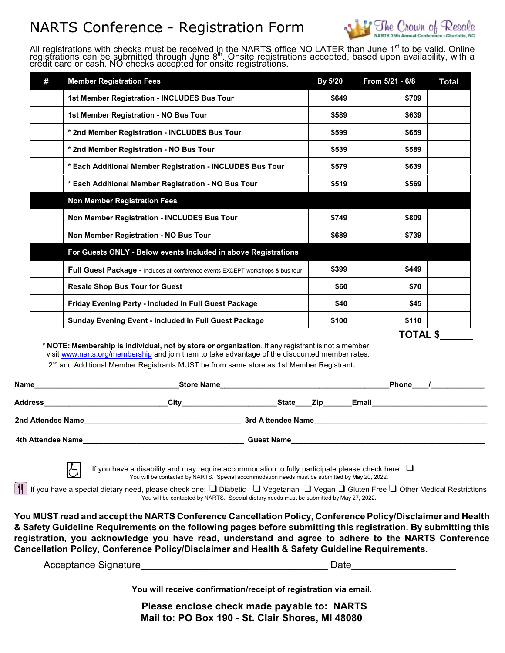### NARTS Conference - Registration Form



All registrations with checks must be received in the NARTS office NO LATER than June 1<sup>st</sup> to be valid. Online registrations can be submitted through June 8<sup>th</sup>. Onsite registrations accepted, based upon availability, with a credit card or cash. NO checks accepted for onsite registrations.

| # | <b>Member Registration Fees</b>                                                 | By 5/20 | From 5/21 - 6/8 | <b>Total</b> |
|---|---------------------------------------------------------------------------------|---------|-----------------|--------------|
|   | 1st Member Registration - INCLUDES Bus Tour                                     | \$649   | \$709           |              |
|   | 1st Member Registration - NO Bus Tour                                           | \$589   | \$639           |              |
|   | * 2nd Member Registration - INCLUDES Bus Tour                                   | \$599   | \$659           |              |
|   | * 2nd Member Registration - NO Bus Tour                                         | \$539   | \$589           |              |
|   | * Each Additional Member Registration - INCLUDES Bus Tour                       | \$579   | \$639           |              |
|   | * Each Additional Member Registration - NO Bus Tour                             | \$519   | \$569           |              |
|   | <b>Non Member Registration Fees</b>                                             |         |                 |              |
|   | Non Member Registration - INCLUDES Bus Tour                                     | \$749   | \$809           |              |
|   | Non Member Registration - NO Bus Tour                                           | \$689   | \$739           |              |
|   | For Guests ONLY - Below events Included in above Registrations                  |         |                 |              |
|   | Full Guest Package - Includes all conference events EXCEPT workshops & bus tour | \$399   | \$449           |              |
|   | <b>Resale Shop Bus Tour for Guest</b>                                           | \$60    | \$70            |              |
|   | Friday Evening Party - Included in Full Guest Package                           | \$40    | \$45            |              |
|   | <b>Sunday Evening Event - Included in Full Guest Package</b>                    | \$100   | \$110           |              |

**TOTAL \$\_\_\_\_\_\_** 

**\* NOTE: Membership is individual, not by store or organization**. If any registrant is not a member, visit [www.narts.org/membership](http://www.narts.org/membership) and join them to take advantage of the discounted member rates.

2<sup>nd</sup> and Additional Member Registrants MUST be from same store as 1st Member Registrant.

∤⊱

| Name              | <b>Store Name</b> |                     | <b>Phone</b> |  |
|-------------------|-------------------|---------------------|--------------|--|
| <b>Address</b>    | City              | <b>State</b><br>Zip | Email        |  |
| 2nd Attendee Name |                   | 3rd Attendee Name   |              |  |
| 4th Attendee Name | <b>Guest Name</b> |                     |              |  |

If you have a disability and may require accommodation to fully participate please check here.  $\Box$ You will be contacted by NARTS. Special accommodation needs must be submitted by May 20, 2022.

If If you have a special dietary need, please check one:  $\square$  Diabetic  $\;\square\;$  Vegetarian  $\;\square\;$  Vegan  $\sqcup\;$  Gluten Free  $\square\;$  Other Medical Restrictions You will be contacted by NARTS. Special dietary needs must be submitted by May 27, 2022.

**You MUST read and accept the NARTS Conference Cancellation Policy, Conference Policy/Disclaimer and Health & Safety Guideline Requirements on the following pages before submitting this registration. By submitting this registration, you acknowledge you have read, understand and agree to adhere to the NARTS Conference Cancellation Policy, Conference Policy/Disclaimer and Health & Safety Guideline Requirements.**

Acceptance Signature **Acceptance** Signature **Acceptance** Signature **Acceptance** Signature **Acceptance** Signature **Acceptance** Signature **Acceptance** Signature **Acceptance** Signature **Acceptance** Signature **Acceptance** Sign

 **Please enclose check made payable to: NARTS Mail to: PO Box 190 - St. Clair Shores, MI 48080**

**You will receive confirmation/receipt of registration via email.**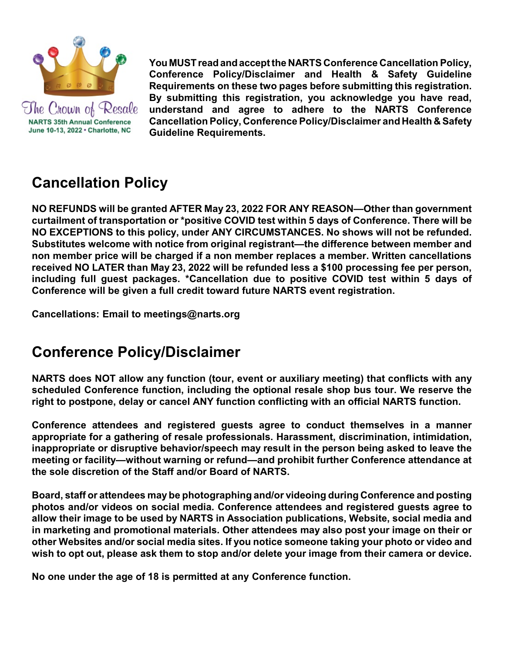

The Crown of Resale **NARTS 35th Annual Conference** June 10-13, 2022 · Charlotte, NC

**You MUSTreadandaccept the NARTS Conference Cancellation Policy, Conference Policy/Disclaimer and Health & Safety Guideline Requirements on these two pages before submitting this registration. By submitting this registration, you acknowledge you have read, understand and agree to adhere to the NARTS Conference Cancellation Policy, Conference Policy/Disclaimer and Health & Safety Guideline Requirements.** 

# **Cancellation Policy**

**NO REFUNDS will be granted AFTER May 23, 2022 FOR ANY REASON—Other than government curtailment of transportation or \*positive COVID test within 5 days of Conference. There will be NO EXCEPTIONS to this policy, under ANY CIRCUMSTANCES. No shows will not be refunded. Substitutes welcome with notice from original registrant—the difference between member and non member price will be charged if a non member replaces a member. Written cancellations received NO LATER than May 23, 2022 will be refunded less a \$100 processing fee per person, including full guest packages. \*Cancellation due to positive COVID test within 5 days of Conference will be given a full credit toward future NARTS event registration.** 

**Cancellations: Email to meetings@narts.org**

# **Conference Policy/Disclaimer**

**NARTS does NOT allow any function (tour, event or auxiliary meeting) that conflicts with any scheduled Conference function, including the optional resale shop bus tour. We reserve the right to postpone, delay or cancel ANY function conflicting with an official NARTS function.**

**Conference attendees and registered guests agree to conduct themselves in a manner appropriate for a gathering of resale professionals. Harassment, discrimination, intimidation, inappropriate or disruptive behavior/speech may result in the person being asked to leave the meeting or facility—without warning or refund—and prohibit further Conference attendance at the sole discretion of the Staff and/or Board of NARTS.**

**Board, staff or attendees may be photographing and/or videoing during Conference and posting photos and/or videos on social media. Conference attendees and registered guests agree to allow their image to be used by NARTS in Association publications, Website, social media and in marketing and promotional materials. Other attendees may also post your image on their or other Websites and/or social media sites. If you notice someone taking your photo or video and wish to opt out, please ask them to stop and/or delete your image from their camera or device.** 

**No one under the age of 18 is permitted at any Conference function.**